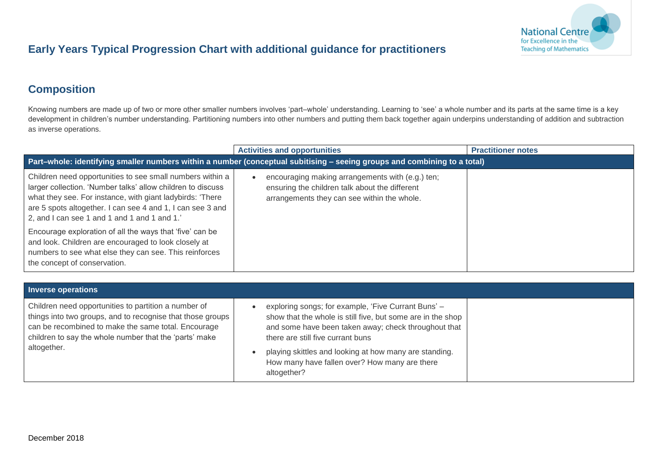

## **Early Years Typical Progression Chart with additional guidance for practitioners**

## **Composition**

Knowing numbers are made up of two or more other smaller numbers involves 'part–whole' understanding. Learning to 'see' a whole number and its parts at the same time is a key development in children's number understanding. Partitioning numbers into other numbers and putting them back together again underpins understanding of addition and subtraction as inverse operations.

|                                                                                                                                                                                                                                                                                                    | <b>Activities and opportunities</b>                                                                                                               | <b>Practitioner notes</b> |
|----------------------------------------------------------------------------------------------------------------------------------------------------------------------------------------------------------------------------------------------------------------------------------------------------|---------------------------------------------------------------------------------------------------------------------------------------------------|---------------------------|
| Part-whole: identifying smaller numbers within a number (conceptual subitising - seeing groups and combining to a total)                                                                                                                                                                           |                                                                                                                                                   |                           |
| Children need opportunities to see small numbers within a<br>larger collection. 'Number talks' allow children to discuss<br>what they see. For instance, with giant ladybirds: 'There<br>are 5 spots altogether. I can see 4 and 1, I can see 3 and<br>2, and I can see 1 and 1 and 1 and 1 and 1. | encouraging making arrangements with (e.g.) ten;<br>ensuring the children talk about the different<br>arrangements they can see within the whole. |                           |
| Encourage exploration of all the ways that 'five' can be<br>and look. Children are encouraged to look closely at<br>numbers to see what else they can see. This reinforces<br>the concept of conservation.                                                                                         |                                                                                                                                                   |                           |

| <b>Inverse operations</b>                                                                                                                                                                                                                          |                                                                                                                                                                                                                                                                                                                                           |  |
|----------------------------------------------------------------------------------------------------------------------------------------------------------------------------------------------------------------------------------------------------|-------------------------------------------------------------------------------------------------------------------------------------------------------------------------------------------------------------------------------------------------------------------------------------------------------------------------------------------|--|
| Children need opportunities to partition a number of<br>things into two groups, and to recognise that those groups<br>can be recombined to make the same total. Encourage<br>children to say the whole number that the 'parts' make<br>altogether. | exploring songs; for example, 'Five Currant Buns' -<br>show that the whole is still five, but some are in the shop<br>and some have been taken away; check throughout that<br>there are still five currant buns<br>playing skittles and looking at how many are standing.<br>How many have fallen over? How many are there<br>altogether? |  |
|                                                                                                                                                                                                                                                    |                                                                                                                                                                                                                                                                                                                                           |  |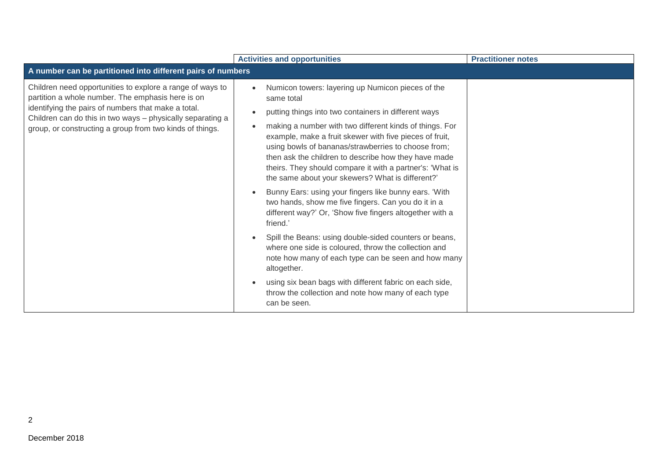|                                                                                                                                                                                                                                                                                                 | <b>Activities and opportunities</b>                                                                                                                                                                                                                                                                                                                                                                                                                                                                                                                                                                                                                                                                                                                                                                                                                                                                                                                                                             | <b>Practitioner notes</b> |
|-------------------------------------------------------------------------------------------------------------------------------------------------------------------------------------------------------------------------------------------------------------------------------------------------|-------------------------------------------------------------------------------------------------------------------------------------------------------------------------------------------------------------------------------------------------------------------------------------------------------------------------------------------------------------------------------------------------------------------------------------------------------------------------------------------------------------------------------------------------------------------------------------------------------------------------------------------------------------------------------------------------------------------------------------------------------------------------------------------------------------------------------------------------------------------------------------------------------------------------------------------------------------------------------------------------|---------------------------|
| A number can be partitioned into different pairs of numbers                                                                                                                                                                                                                                     |                                                                                                                                                                                                                                                                                                                                                                                                                                                                                                                                                                                                                                                                                                                                                                                                                                                                                                                                                                                                 |                           |
| Children need opportunities to explore a range of ways to<br>partition a whole number. The emphasis here is on<br>identifying the pairs of numbers that make a total.<br>Children can do this in two ways - physically separating a<br>group, or constructing a group from two kinds of things. | Numicon towers: layering up Numicon pieces of the<br>same total<br>putting things into two containers in different ways<br>making a number with two different kinds of things. For<br>example, make a fruit skewer with five pieces of fruit,<br>using bowls of bananas/strawberries to choose from;<br>then ask the children to describe how they have made<br>theirs. They should compare it with a partner's: 'What is<br>the same about your skewers? What is different?'<br>Bunny Ears: using your fingers like bunny ears. 'With<br>two hands, show me five fingers. Can you do it in a<br>different way?' Or, 'Show five fingers altogether with a<br>friend.'<br>Spill the Beans: using double-sided counters or beans,<br>where one side is coloured, throw the collection and<br>note how many of each type can be seen and how many<br>altogether.<br>using six bean bags with different fabric on each side,<br>throw the collection and note how many of each type<br>can be seen. |                           |